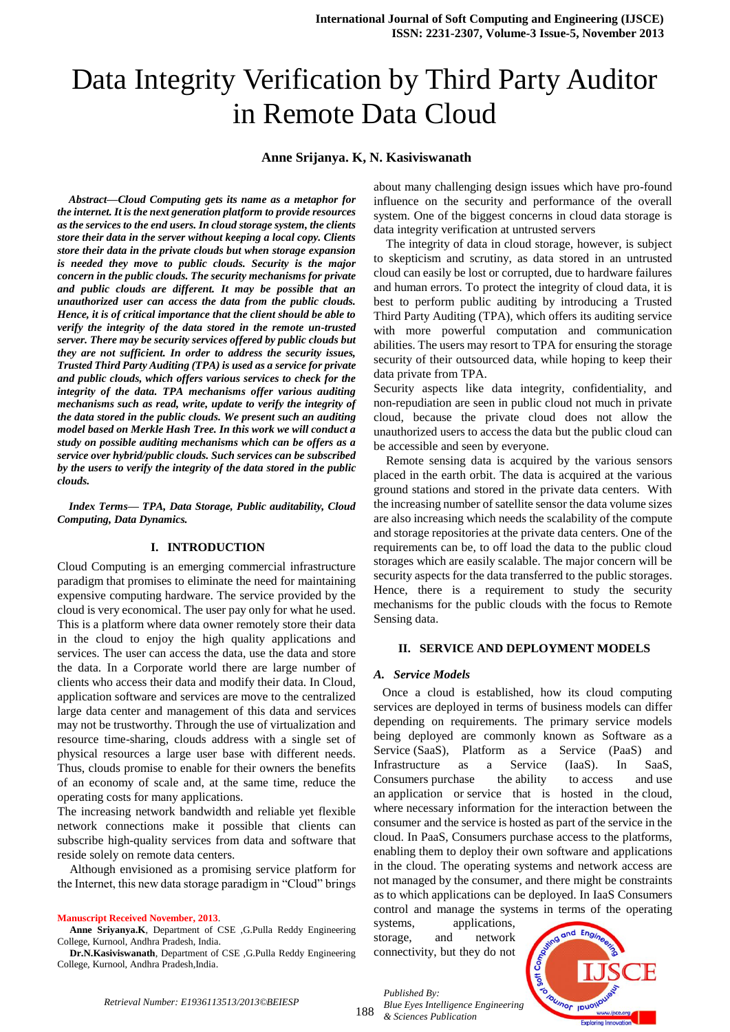# Data Integrity Verification by Third Party Auditor in Remote Data Cloud

## **Anne Srijanya. K, N. Kasiviswanath**

*Abstract—Cloud Computing gets its name as a metaphor for the internet. It is the next generation platform to provide resources as the services to the end users. In cloud storage system, the clients store their data in the server without keeping a local copy. Clients store their data in the private clouds but when storage expansion is needed they move to public clouds. Security is the major concern in the public clouds. The security mechanisms for private and public clouds are different. It may be possible that an unauthorized user can access the data from the public clouds. Hence, it is of critical importance that the client should be able to verify the integrity of the data stored in the remote un-trusted server. There may be security services offered by public clouds but they are not sufficient. In order to address the security issues, Trusted Third Party Auditing (TPA) is used as a service for private and public clouds, which offers various services to check for the integrity of the data. TPA mechanisms offer various auditing mechanisms such as read, write, update to verify the integrity of the data stored in the public clouds. We present such an auditing model based on Merkle Hash Tree. In this work we will conduct a study on possible auditing mechanisms which can be offers as a service over hybrid/public clouds. Such services can be subscribed by the users to verify the integrity of the data stored in the public clouds.*

*Index Terms— TPA, Data Storage, Public auditability, Cloud Computing, Data Dynamics.*

#### **I. INTRODUCTION**

Cloud Computing is an emerging commercial infrastructure paradigm that promises to eliminate the need for maintaining expensive computing hardware. The service provided by the cloud is very economical. The user pay only for what he used. This is a platform where data owner remotely store their data in the cloud to enjoy the high quality applications and services. The user can access the data, use the data and store the data. In a Corporate world there are large number of clients who access their data and modify their data. In Cloud, application software and services are move to the centralized large data center and management of this data and services may not be trustworthy. Through the use of virtualization and resource time-sharing, clouds address with a single set of physical resources a large user base with different needs. Thus, clouds promise to enable for their owners the benefits of an economy of scale and, at the same time, reduce the operating costs for many applications.

The increasing network bandwidth and reliable yet flexible network connections make it possible that clients can subscribe high-quality services from data and software that reside solely on remote data centers.

Although envisioned as a promising service platform for the Internet, this new data storage paradigm in "Cloud" brings

#### **Manuscript Received November, 2013**.

**Anne Sriyanya.K**, Department of CSE ,G.Pulla Reddy Engineering College, Kurnool, Andhra Pradesh, India.

**Dr.N.Kasiviswanath**, Department of CSE ,G.Pulla Reddy Engineering College, Kurnool, Andhra Pradesh,India.

about many challenging design issues which have pro-found influence on the security and performance of the overall system. One of the biggest concerns in cloud data storage is data integrity verification at untrusted servers

The integrity of data in cloud storage, however, is subject to skepticism and scrutiny, as data stored in an untrusted cloud can easily be lost or corrupted, due to hardware failures and human errors. To protect the integrity of cloud data, it is best to perform public auditing by introducing a Trusted Third Party Auditing (TPA), which offers its auditing service with more powerful computation and communication abilities. The users may resort to TPA for ensuring the storage security of their outsourced data, while hoping to keep their data private from TPA.

Security aspects like data integrity, confidentiality, and non-repudiation are seen in public cloud not much in private cloud, because the private cloud does not allow the unauthorized users to access the data but the public cloud can be accessible and seen by everyone.

Remote sensing data is acquired by the various sensors placed in the earth orbit. The data is acquired at the various ground stations and stored in the private data centers. With the increasing number of satellite sensor the data volume sizes are also increasing which needs the scalability of the compute and storage repositories at the private data centers. One of the requirements can be, to off load the data to the public cloud storages which are easily scalable. The major concern will be security aspects for the data transferred to the public storages. Hence, there is a requirement to study the security mechanisms for the public clouds with the focus to Remote Sensing data.

#### **II. SERVICE AND DEPLOYMENT MODELS**

#### *A. Service Models*

Once a cloud is established, how its cloud computing services are deployed in terms of business models can differ depending on requirements. The primary service models being deployed are commonly known as Software as a Service (SaaS), Platform as a Service (PaaS) and Infrastructure as a Service (IaaS). In SaaS, Consumers purchase the ability to access and use an application or service that is hosted in the cloud, where necessary information for the interaction between the consumer and the service is hosted as part of the service in the cloud. In PaaS, Consumers purchase access to the platforms, enabling them to deploy their own software and applications in the cloud. The operating systems and network access are not managed by the consumer, and there might be constraints as to which applications can be deployed. In IaaS Consumers control and manage the systems in terms of the operating

systems, applications, storage, and network connectivity, but they do not



188 *& Sciences Publication* 

*Published By:*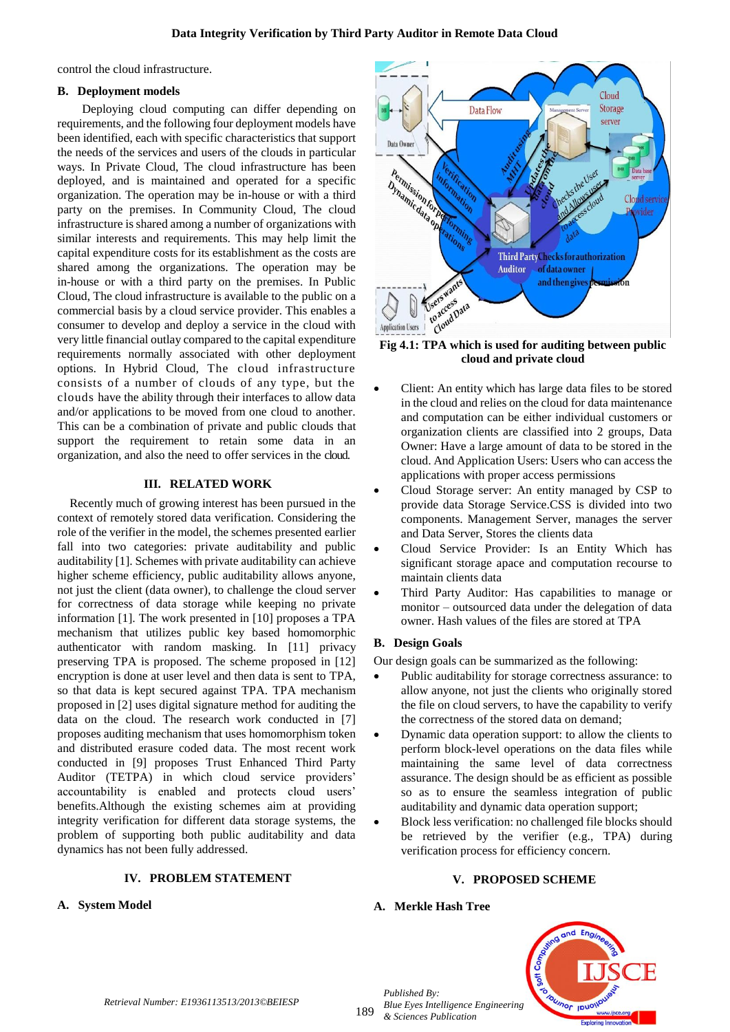control the cloud infrastructure.

### **B. Deployment models**

 Deploying cloud computing can differ depending on requirements, and the following four deployment models have been identified, each with specific characteristics that support the needs of the services and users of the clouds in particular ways. In Private Cloud, The cloud infrastructure has been deployed, and is maintained and operated for a specific organization. The operation may be in-house or with a third party on the premises. In Community Cloud, The cloud infrastructure is shared among a number of organizations with similar interests and requirements. This may help limit the capital expenditure costs for its establishment as the costs are shared among the organizations. The operation may be in-house or with a third party on the premises. In Public Cloud, The cloud infrastructure is available to the public on a commercial basis by a cloud service provider. This enables a consumer to develop and deploy a service in the cloud with very little financial outlay compared to the capital expenditure requirements normally associated with other deployment options. In Hybrid Cloud, The cloud infrastructure consists of a number of clouds of any type, but the clouds have the ability through their interfaces to allow data and/or applications to be moved from one cloud to another. This can be a combination of private and public clouds that support the requirement to retain some data in an organization, and also the need to offer services in the cloud.

## **III. RELATED WORK**

Recently much of growing interest has been pursued in the context of remotely stored data verification. Considering the role of the verifier in the model, the schemes presented earlier fall into two categories: private auditability and public auditability [1]. Schemes with private auditability can achieve higher scheme efficiency, public auditability allows anyone, not just the client (data owner), to challenge the cloud server for correctness of data storage while keeping no private information [1]. The work presented in [10] proposes a TPA mechanism that utilizes public key based homomorphic authenticator with random masking. In [11] privacy preserving TPA is proposed. The scheme proposed in [12] encryption is done at user level and then data is sent to TPA, so that data is kept secured against TPA. TPA mechanism proposed in [2] uses digital signature method for auditing the data on the cloud. The research work conducted in [7] proposes auditing mechanism that uses homomorphism token and distributed erasure coded data. The most recent work conducted in [9] proposes Trust Enhanced Third Party Auditor (TETPA) in which cloud service providers' accountability is enabled and protects cloud users' benefits.Although the existing schemes aim at providing integrity verification for different data storage systems, the problem of supporting both public auditability and data dynamics has not been fully addressed.

## **IV. PROBLEM STATEMENT**

**A. System Model**



**cloud and private cloud**

- Client: An entity which has large data files to be stored in the cloud and relies on the cloud for data maintenance and computation can be either individual customers or organization clients are classified into 2 groups, Data Owner: Have a large amount of data to be stored in the cloud. And Application Users: Users who can access the applications with proper access permissions
- Cloud Storage server: An entity managed by CSP to provide data Storage Service.CSS is divided into two components. Management Server, manages the server and Data Server, Stores the clients data
- Cloud Service Provider: Is an Entity Which has significant storage apace and computation recourse to maintain clients data
- Third Party Auditor: Has capabilities to manage or monitor – outsourced data under the delegation of data owner. Hash values of the files are stored at TPA

## **B. Design Goals**

Our design goals can be summarized as the following:

- Public auditability for storage correctness assurance: to allow anyone, not just the clients who originally stored the file on cloud servers, to have the capability to verify the correctness of the stored data on demand;
- Dynamic data operation support: to allow the clients to perform block-level operations on the data files while maintaining the same level of data correctness assurance. The design should be as efficient as possible so as to ensure the seamless integration of public auditability and dynamic data operation support;
- Block less verification: no challenged file blocks should be retrieved by the verifier (e.g., TPA) during verification process for efficiency concern.

## **V. PROPOSED SCHEME**

## **A. Merkle Hash Tree**



189 *Blue Eyes Intelligence Engineering & Sciences Publication* 

*Published By:*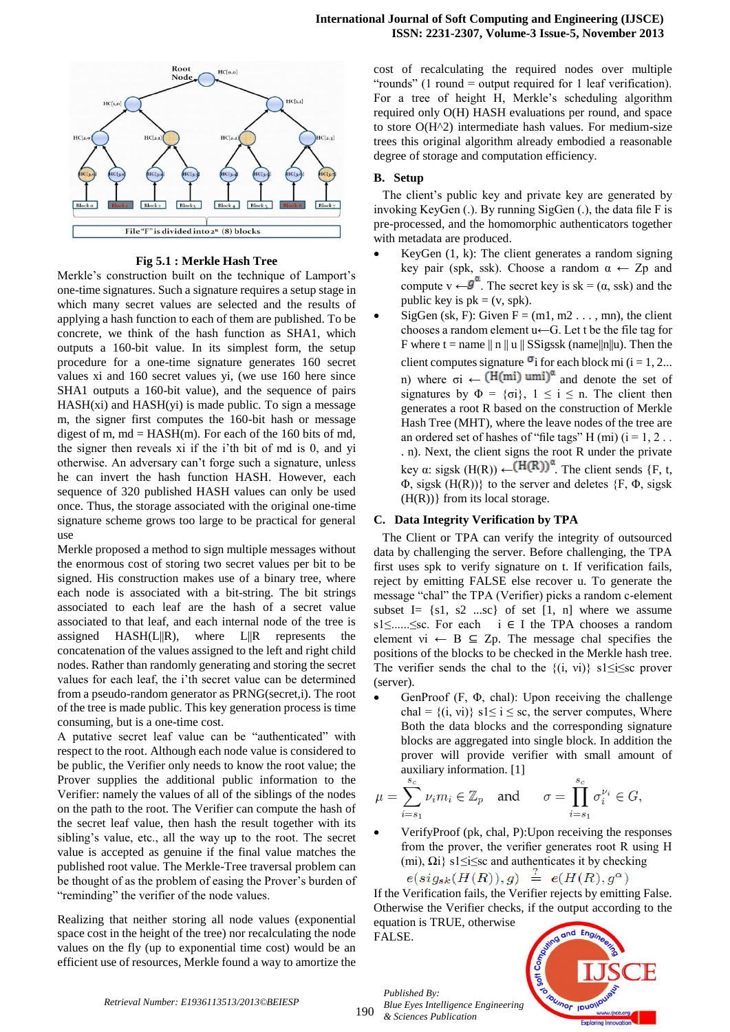

#### **Fig 5.1 : Merkle Hash Tree**

Merkle's construction built on the technique of Lamport's one-time signatures. Such a signature requires a setup stage in which many secret values are selected and the results of applying a hash function to each of them are published. To be concrete, we think of the hash function as SHA1, which outputs a 160-bit value. In its simplest form, the setup procedure for a one-time signature generates 160 secret values xi and 160 secret values yi, (we use 160 here since SHA1 outputs a 160-bit value), and the sequence of pairs  $HASH(xi)$  and  $HASH(yi)$  is made public. To sign a message m, the signer first computes the 160-bit hash or message digest of m,  $md = HASH(m)$ . For each of the 160 bits of md, the signer then reveals xi if the i'th bit of md is 0, and yi otherwise. An adversary can't forge such a signature, unless he can invert the hash function HASH. However, each sequence of 320 published HASH values can only be used once. Thus, the storage associated with the original one-time signature scheme grows too large to be practical for general use

Merkle proposed a method to sign multiple messages without the enormous cost of storing two secret values per bit to be signed. His construction makes use of a binary tree, where each node is associated with a bit-string. The bit strings associated to each leaf are the hash of a secret value associated to that leaf, and each internal node of the tree is assigned  $HASH(L||R)$ , where  $L||R$  represents the concatenation of the values assigned to the left and right child nodes. Rather than randomly generating and storing the secret values for each leaf, the i'th secret value can be determined from a pseudo-random generator as PRNG(secret,i). The root of the tree is made public. This key generation process is time consuming, but is a one-time cost.

A putative secret leaf value can be "authenticated" with respect to the root. Although each node value is considered to be public, the Verifier only needs to know the root value; the Prover supplies the additional public information to the Verifier: namely the values of all of the siblings of the nodes on the path to the root. The Verifier can compute the hash of the secret leaf value, then hash the result together with its sibling's value, etc., all the way up to the root. The secret value is accepted as genuine if the final value matches the published root value. The Merkle-Tree traversal problem can be thought of as the problem of easing the Prover's burden of "reminding" the verifier of the node values.

Realizing that neither storing all node values (exponential space cost in the height of the tree) nor recalculating the node values on the fly (up to exponential time cost) would be an efficient use of resources, Merkle found a way to amortize the cost of recalculating the required nodes over multiple "rounds" (1 round = output required for 1 leaf verification). For a tree of height H, Merkle's scheduling algorithm required only O(H) HASH evaluations per round, and space to store O(H^2) intermediate hash values. For medium-size trees this original algorithm already embodied a reasonable degree of storage and computation efficiency.

## **B. Setup**

The client's public key and private key are generated by invoking KeyGen (.). By running SigGen (.), the data file F is pre-processed, and the homomorphic authenticators together with metadata are produced.

- KeyGen (1, k): The client generates a random signing key pair (spk, ssk). Choose a random  $\alpha \leftarrow Zp$  and compute  $v \leftarrow \mathbf{g}^{\alpha}$ . The secret key is sk = ( $\alpha$ , ssk) and the public key is  $pk = (v, spk)$ .
- SigGen (sk, F): Given  $F = (m1, m2 \dots, mn)$ , the client chooses a random element u←G. Let t be the file tag for F where  $t = name || n || u || S S i g s s k$  (name $|| n || u$ ). Then the client computes signature  $\sigma_i$  for each block mi (i = 1, 2... n) where  $\sigma i \leftarrow (H(mi) \text{ um } i)^{\alpha}$  and denote the set of signatures by  $\Phi = {\sigma i}$ ,  $1 \le i \le n$ . The client then generates a root R based on the construction of Merkle Hash Tree (MHT), where the leave nodes of the tree are an ordered set of hashes of "file tags"  $H$  (mi) ( $i = 1, 2...$ . n). Next, the client signs the root R under the private key  $\alpha$ : sigsk (H(R))  $\leftarrow$  (H(R))<sup> $\alpha$ </sup>. The client sends {F, t,  $\Phi$ , sigsk (H(R))} to the server and deletes {F,  $\Phi$ , sigsk  $(H(R))$ } from its local storage.

## **C. Data Integrity Verification by TPA**

The Client or TPA can verify the integrity of outsourced data by challenging the server. Before challenging, the TPA first uses spk to verify signature on t. If verification fails, reject by emitting FALSE else recover u. To generate the message "chal" the TPA (Verifier) picks a random c-element subset I=  ${s1, s2}$  ...sc} of set [1, n] where we assume s1≤......≤sc. For each i  $\in$  I the TPA chooses a random element  $vi \leftarrow B \subseteq Zp$ . The message chal specifies the positions of the blocks to be checked in the Merkle hash tree. The verifier sends the chal to the  $\{(i, vi)\}\$  s1 $\leq i \leq sc$  prover (server).

GenProof  $(F, \Phi, \text{chal})$ : Upon receiving the challenge chal =  $\{(i, vi)\}\$  s1  $\le i \le$  sc, the server computes, Where Both the data blocks and the corresponding signature blocks are aggregated into single block. In addition the prover will provide verifier with small amount of auxiliary information. [1]

$$
\mu = \sum_{i=s_1}^{s_c} \nu_i m_i \in \mathbb{Z}_p \quad \text{and} \quad \sigma = \prod_{i=s_1}^{s_c} \sigma_i^{\nu_i} \in G,
$$

 VerifyProof (pk, chal, P):Upon receiving the responses from the prover, the verifier generates root R using H (mi),  $\Omega$ i} s1≤i≤sc and authenticates it by checking

$$
e(sig_{sk}(H(R)), g) \doteq e(H(R), g^{\alpha})
$$

If the Verification fails, the Verifier rejects by emitting False. Otherwise the Verifier checks, if the output according to the equation is TRUE, otherwise FALSE.

*Published By:*



*Retrieval Number: E1936113513/2013©BEIESP*

190 *& Sciences Publication*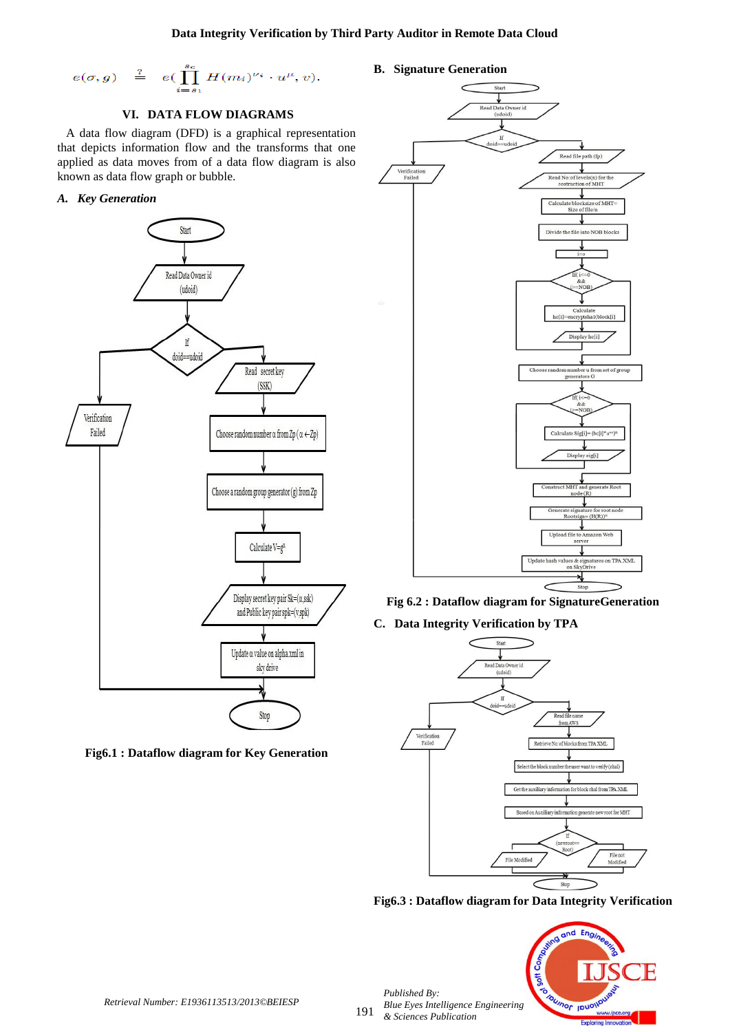$$
e(\sigma,g) \quad \stackrel{?}{=} \quad e\big(\prod_{i=s_1}^{s_c}H(m_i)^{\nu_i} \cdot u^{\mu}, v\big)
$$

# **VI. DATA FLOW DIAGRAMS**

A data flow diagram (DFD) is a graphical representation that depicts information flow and the transforms that one applied as data moves from of a data flow diagram is also known as data flow graph or bubble.

#### *A. Key Generation*



**Fig6.1 : Dataflow diagram for Key Generation**



- **Fig 6.2 : Dataflow diagram for SignatureGeneration**
- **C. Data Integrity Verification by TPA**



**Fig6.3 : Dataflow diagram for Data Integrity Verification**



191

*Published By:*

*& Sciences Publication*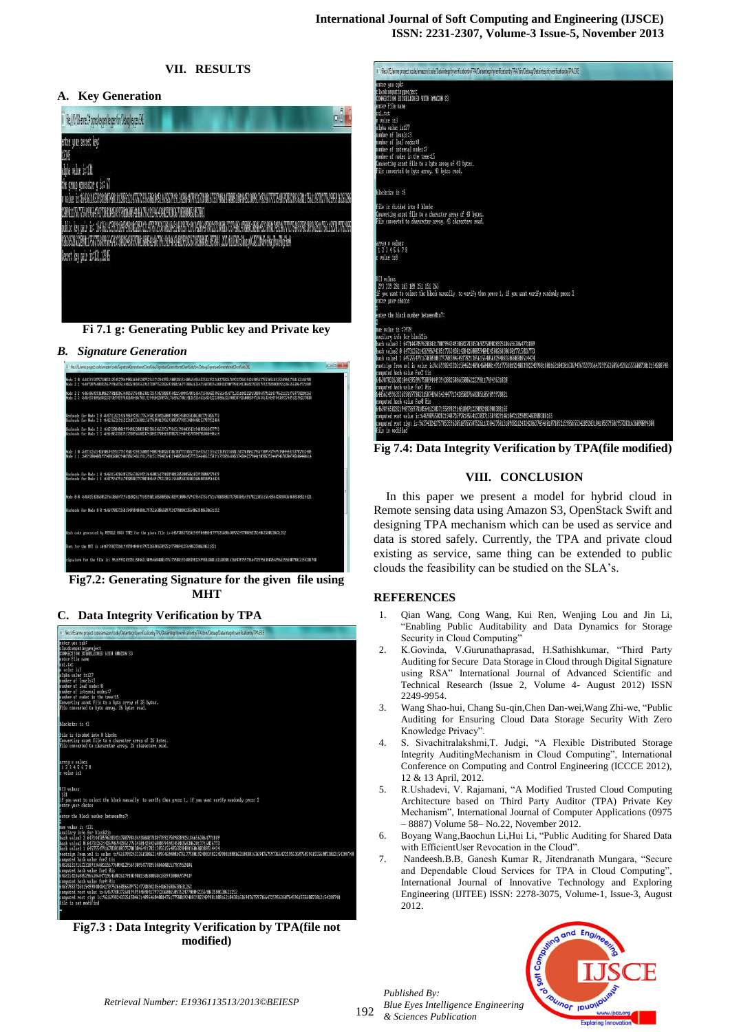## **VII. RESULTS**

## **A. Key Generation**



**Fi 7.1 g: Generating Public key and Private key**

#### *B. Signature Generation*



**Fig7.2: Generating Signature for the given file using MHT**

#### **C. Data Integrity Verification by TPA**



**Fig7.3 : Data Integrity Verification by TPA(file not modified)**



**Fig 7.4: Data Integrity Verification by TPA(file modified)**

#### **VIII. CONCLUSION**

In this paper we present a model for hybrid cloud in Remote sensing data using Amazon S3, OpenStack Swift and designing TPA mechanism which can be used as service and data is stored safely. Currently, the TPA and private cloud existing as service, same thing can be extended to public clouds the feasibility can be studied on the SLA's.

#### **REFERENCES**

- 1. Qian Wang, Cong Wang, Kui Ren, Wenjing Lou and Jin Li, "Enabling Public Auditability and Data Dynamics for Storage Security in Cloud Computing"
- 2. K.Govinda, V.Gurunathaprasad, H.Sathishkumar, "Third Party Auditing for Secure Data Storage in Cloud through Digital Signature using RSA" International Journal of Advanced Scientific and Technical Research (Issue 2, Volume 4- August 2012) ISSN 2249-9954.
- 3. Wang Shao-hui, Chang Su-qin,Chen Dan-wei,Wang Zhi-we, "Public Auditing for Ensuring Cloud Data Storage Security With Zero Knowledge Privacy".
- 4. S. Sivachitralakshmi,T. Judgi, "A Flexible Distributed Storage Integrity AuditingMechanism in Cloud Computing", International Conference on Computing and Control Engineering (ICCCE 2012), 12 & 13 April, 2012.
- 5. R.Ushadevi, V. Rajamani, "A Modified Trusted Cloud Computing Architecture based on Third Party Auditor (TPA) Private Key Mechanism", International Journal of Computer Applications (0975 – 8887) Volume 58– No.22, November 2012.
- 6. Boyang Wang,Baochun Li,Hui Li, "Public Auditing for Shared Data with EfficientUser Revocation in the Cloud".
- 7. Nandeesh.B.B, Ganesh Kumar R, Jitendranath Mungara, "Secure and Dependable Cloud Services for TPA in Cloud Computing", International Journal of Innovative Technology and Exploring Engineering (IJITEE) ISSN: 2278-3075, Volume-1, Issue-3, August 2012.



192 *Published By: Blue Eyes Intelligence Engineering & Sciences Publication*